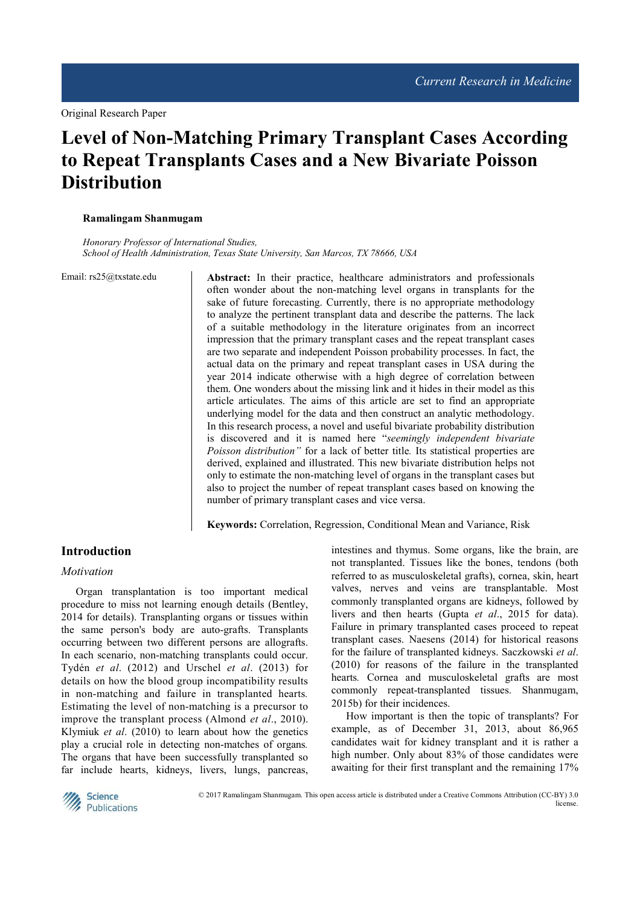Original Research Paper

# **Level of Non-Matching Primary Transplant Cases According to Repeat Transplants Cases and a New Bivariate Poisson Distribution**

## **Ramalingam Shanmugam**

*Honorary Professor of International Studies, School of Health Administration, Texas State University, San Marcos, TX 78666, USA* 

Email: rs25@txstate.edu **Abstract:** In their practice, healthcare administrators and professionals often wonder about the non-matching level organs in transplants for the sake of future forecasting. Currently, there is no appropriate methodology to analyze the pertinent transplant data and describe the patterns. The lack of a suitable methodology in the literature originates from an incorrect impression that the primary transplant cases and the repeat transplant cases are two separate and independent Poisson probability processes. In fact, the actual data on the primary and repeat transplant cases in USA during the year 2014 indicate otherwise with a high degree of correlation between them. One wonders about the missing link and it hides in their model as this article articulates. The aims of this article are set to find an appropriate underlying model for the data and then construct an analytic methodology. In this research process, a novel and useful bivariate probability distribution is discovered and it is named here "*seemingly independent bivariate Poisson distribution"* for a lack of better title*.* Its statistical properties are derived, explained and illustrated. This new bivariate distribution helps not only to estimate the non-matching level of organs in the transplant cases but also to project the number of repeat transplant cases based on knowing the number of primary transplant cases and vice versa.

**Keywords:** Correlation, Regression, Conditional Mean and Variance, Risk

## **Introduction**

## *Motivation*

Organ transplantation is too important medical procedure to miss not learning enough details (Bentley, 2014 for details). Transplanting organs or tissues within the same person's body are auto-grafts. Transplants occurring between two different persons are allografts. In each scenario, non-matching transplants could occur. Tydén *et al*. (2012) and Urschel *et al*. (2013) for details on how the blood group incompatibility results in non-matching and failure in transplanted hearts*.* Estimating the level of non-matching is a precursor to improve the transplant process (Almond *et al*., 2010). Klymiuk *et al*. (2010) to learn about how the genetics play a crucial role in detecting non-matches of organs*.* The organs that have been successfully transplanted so far include hearts, kidneys, livers, lungs, pancreas, intestines and thymus. Some organs, like the brain, are not transplanted. Tissues like the bones, tendons (both referred to as musculoskeletal grafts), cornea, skin, heart valves, nerves and veins are transplantable. Most commonly transplanted organs are kidneys, followed by livers and then hearts (Gupta *et al*., 2015 for data). Failure in primary transplanted cases proceed to repeat transplant cases. Naesens (2014) for historical reasons for the failure of transplanted kidneys. Saczkowski *et al*. (2010) for reasons of the failure in the transplanted hearts*.* Cornea and musculoskeletal grafts are most commonly repeat-transplanted tissues. Shanmugam, 2015b) for their incidences.

How important is then the topic of transplants? For example, as of December 31, 2013, about 86,965 candidates wait for kidney transplant and it is rather a high number. Only about 83% of those candidates were awaiting for their first transplant and the remaining 17%



© 2017 Ramalingam Shanmugam. This open access article is distributed under a Creative Commons Attribution (CC-BY) 3.0 license.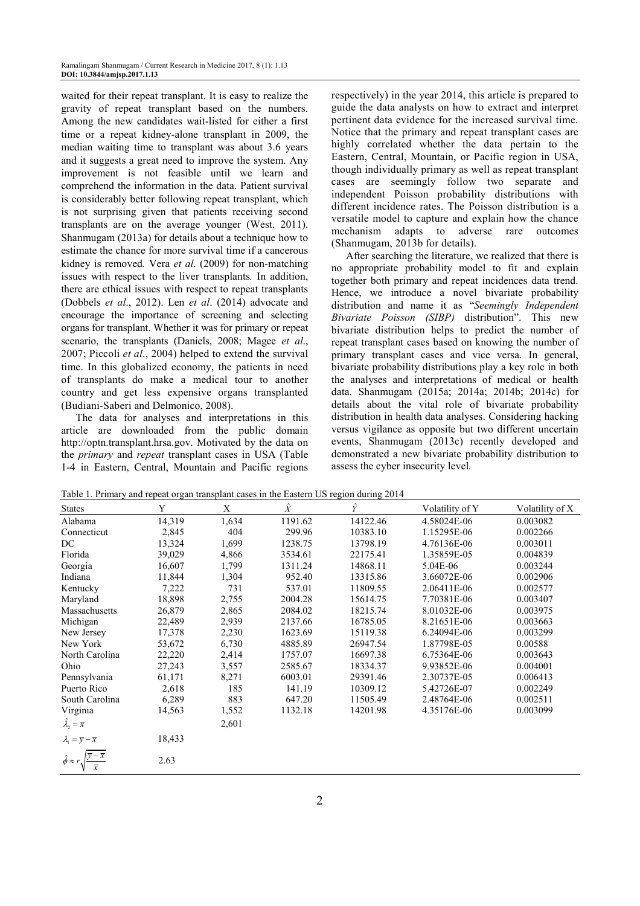waited for their repeat transplant. It is easy to realize the gravity of repeat transplant based on the numbers. Among the new candidates wait-listed for either a first time or a repeat kidney-alone transplant in 2009, the median waiting time to transplant was about 3.6 years and it suggests a great need to improve the system. Any improvement is not feasible until we learn and comprehend the information in the data. Patient survival is considerably better following repeat transplant, which is not surprising given that patients receiving second transplants are on the average younger (West, 2011). Shanmugam (2013a) for details about a technique how to estimate the chance for more survival time if a cancerous kidney is removed*.* Vera *et al*. (2009) for non-matching issues with respect to the liver transplants*.* In addition, there are ethical issues with respect to repeat transplants (Dobbels *et al*., 2012). Len *et al*. (2014) advocate and encourage the importance of screening and selecting organs for transplant. Whether it was for primary or repeat scenario, the transplants (Daniels, 2008; Magee *et al*., 2007; Piccoli *et al*., 2004) helped to extend the survival time. In this globalized economy, the patients in need of transplants do make a medical tour to another country and get less expensive organs transplanted (Budiani-Saberi and Delmonico, 2008).

The data for analyses and interpretations in this article are downloaded from the public domain http://optn.transplant.hrsa.gov. Motivated by the data on the *primary* and *repeat* transplant cases in USA (Table 1-4 in Eastern, Central, Mountain and Pacific regions

respectively) in the year 2014, this article is prepared to guide the data analysts on how to extract and interpret pertinent data evidence for the increased survival time. Notice that the primary and repeat transplant cases are highly correlated whether the data pertain to the Eastern, Central, Mountain, or Pacific region in USA, though individually primary as well as repeat transplant cases are seemingly follow two separate and independent Poisson probability distributions with different incidence rates. The Poisson distribution is a versatile model to capture and explain how the chance mechanism adapts to adverse rare outcomes (Shanmugam, 2013b for details).

After searching the literature, we realized that there is no appropriate probability model to fit and explain together both primary and repeat incidences data trend. Hence, we introduce a novel bivariate probability distribution and name it as "*Seemingly Independent Bivariate Poisson (SIBP)* distribution". This new bivariate distribution helps to predict the number of repeat transplant cases based on knowing the number of primary transplant cases and vice versa. In general, bivariate probability distributions play a key role in both the analyses and interpretations of medical or health data. Shanmugam (2015a; 2014a; 2014b; 2014c) for details about the vital role of bivariate probability distribution in health data analyses. Considering hacking versus vigilance as opposite but two different uncertain events, Shanmugam (2013c) recently developed and demonstrated a new bivariate probability distribution to assess the cyber insecurity level*.* 

Table 1. Primary and repeat organ transplant cases in the Eastern US region during 2014

| <b>States</b>                             | Y      | X     | $\hat{X}$ | Ŷ        | Volatility of Y | Volatility of X |
|-------------------------------------------|--------|-------|-----------|----------|-----------------|-----------------|
| Alabama                                   | 14,319 | 1,634 | 1191.62   | 14122.46 | 4.58024E-06     | 0.003082        |
| Connecticut                               | 2,845  | 404   | 299.96    | 10383.10 | 1.15295E-06     | 0.002266        |
| DC                                        | 13,324 | 1,699 | 1238.75   | 13798.19 | 4.76136E-06     | 0.003011        |
| Florida                                   | 39,029 | 4,866 | 3534.61   | 22175.41 | 1.35859E-05     | 0.004839        |
| Georgia                                   | 16,607 | 1,799 | 1311.24   | 14868.11 | 5.04E-06        | 0.003244        |
| Indiana                                   | 11,844 | 1,304 | 952.40    | 13315.86 | 3.66072E-06     | 0.002906        |
| Kentucky                                  | 7,222  | 731   | 537.01    | 11809.55 | 2.06411E-06     | 0.002577        |
| Maryland                                  | 18,898 | 2,755 | 2004.28   | 15614.75 | 7.70381E-06     | 0.003407        |
| Massachusetts                             | 26,879 | 2,865 | 2084.02   | 18215.74 | 8.01032E-06     | 0.003975        |
| Michigan                                  | 22,489 | 2,939 | 2137.66   | 16785.05 | 8.21651E-06     | 0.003663        |
| New Jersey                                | 17,378 | 2,230 | 1623.69   | 15119.38 | 6.24094E-06     | 0.003299        |
| New York                                  | 53,672 | 6,730 | 4885.89   | 26947.54 | 1.87798E-05     | 0.00588         |
| North Carolina                            | 22,220 | 2,414 | 1757.07   | 16697.38 | 6.75364E-06     | 0.003643        |
| Ohio                                      | 27,243 | 3,557 | 2585.67   | 18334.37 | 9.93852E-06     | 0.004001        |
| Pennsylvania                              | 61,171 | 8,271 | 6003.01   | 29391.46 | 2.30737E-05     | 0.006413        |
| Puerto Rico                               | 2,618  | 185   | 141.19    | 10309.12 | 5.42726E-07     | 0.002249        |
| South Carolina                            | 6,289  | 883   | 647.20    | 11505.49 | 2.48764E-06     | 0.002511        |
| Virginia                                  | 14,563 | 1,552 | 1132.18   | 14201.98 | 4.35176E-06     | 0.003099        |
| $\hat{\lambda}_2 = \overline{x}$          |        | 2,601 |           |          |                 |                 |
| $\lambda_1 = \overline{y} - \overline{x}$ | 18,433 |       |           |          |                 |                 |
| $\hat{\phi} \approx r$                    | 2.63   |       |           |          |                 |                 |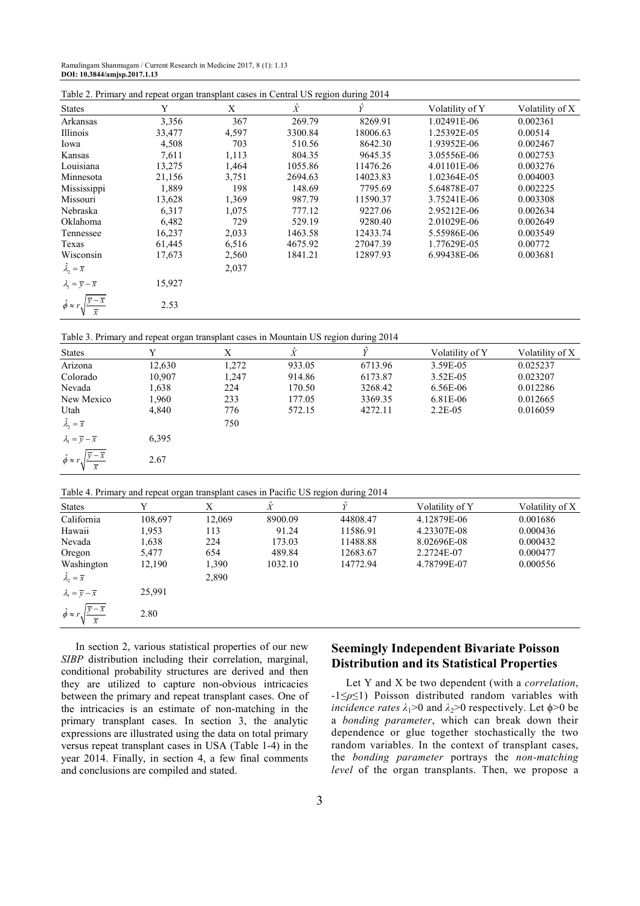Ramalingam Shanmugam / Current Research in Medicine 2017, 8 (1): 1.13 **DOI: 10.3844/amjsp.2017.1.13** 

|                                           | Table 2. Primary and repeat organ transplant cases in Central US region during 2014 |       |           |          |                 |                 |
|-------------------------------------------|-------------------------------------------------------------------------------------|-------|-----------|----------|-----------------|-----------------|
| <b>States</b>                             | Y                                                                                   | X     | $\hat{X}$ | Ŷ        | Volatility of Y | Volatility of X |
| Arkansas                                  | 3,356                                                                               | 367   | 269.79    | 8269.91  | 1.02491E-06     | 0.002361        |
| Illinois                                  | 33,477                                                                              | 4,597 | 3300.84   | 18006.63 | 1.25392E-05     | 0.00514         |
| Iowa                                      | 4,508                                                                               | 703   | 510.56    | 8642.30  | 1.93952E-06     | 0.002467        |
| Kansas                                    | 7,611                                                                               | 1,113 | 804.35    | 9645.35  | 3.05556E-06     | 0.002753        |
| Louisiana                                 | 13,275                                                                              | 1,464 | 1055.86   | 11476.26 | 4.01101E-06     | 0.003276        |
| Minnesota                                 | 21,156                                                                              | 3,751 | 2694.63   | 14023.83 | 1.02364E-05     | 0.004003        |
| Mississippi                               | 1,889                                                                               | 198   | 148.69    | 7795.69  | 5.64878E-07     | 0.002225        |
| Missouri                                  | 13,628                                                                              | 1,369 | 987.79    | 11590.37 | 3.75241E-06     | 0.003308        |
| Nebraska                                  | 6,317                                                                               | 1,075 | 777.12    | 9227.06  | 2.95212E-06     | 0.002634        |
| Oklahoma                                  | 6,482                                                                               | 729   | 529.19    | 9280.40  | 2.01029E-06     | 0.002649        |
| Tennessee                                 | 16,237                                                                              | 2,033 | 1463.58   | 12433.74 | 5.55986E-06     | 0.003549        |
| Texas                                     | 61,445                                                                              | 6,516 | 4675.92   | 27047.39 | 1.77629E-05     | 0.00772         |
| Wisconsin                                 | 17,673                                                                              | 2,560 | 1841.21   | 12897.93 | 6.99438E-06     | 0.003681        |
| $\lambda_2 = \overline{x}$                |                                                                                     | 2,037 |           |          |                 |                 |
| $\lambda_1 = \overline{y} - \overline{x}$ | 15,927                                                                              |       |           |          |                 |                 |
| $\phi \approx r_{\rm A}$                  | 2.53                                                                                |       |           |          |                 |                 |

| $\mathcal{L}$ and $\mathcal{L}$ and $\mathcal{L}$ and $\mathcal{L}$ and $\mathcal{L}$ and $\mathcal{L}$ and $\mathcal{L}$ and $\mathcal{L}$ and $\mathcal{L}$ and $\mathcal{L}$ and $\mathcal{L}$ and $\mathcal{L}$ and $\mathcal{L}$ and $\mathcal{L}$ and $\mathcal{L}$ and $\mathcal{L}$ and $\mathcal{L}$ and |  |  |  |  |  |
|-------------------------------------------------------------------------------------------------------------------------------------------------------------------------------------------------------------------------------------------------------------------------------------------------------------------|--|--|--|--|--|

Table 3. Primary and repeat organ transplant cases in Mountain US region during 2014

| <b>States</b>                             |        | Χ     | $\hat{X}$ | û       | Volatility of Y | Volatility of X |
|-------------------------------------------|--------|-------|-----------|---------|-----------------|-----------------|
| Arizona                                   | 12,630 | 1,272 | 933.05    | 6713.96 | 3.59E-05        | 0.025237        |
| Colorado                                  | 10,907 | 1,247 | 914.86    | 6173.87 | 3.52E-05        | 0.023207        |
| Nevada                                    | 1,638  | 224   | 170.50    | 3268.42 | 6.56E-06        | 0.012286        |
| New Mexico                                | 1.960  | 233   | 177.05    | 3369.35 | 6.81E-06        | 0.012665        |
| Utah                                      | 4,840  | 776   | 572.15    | 4272.11 | $2.2E - 0.5$    | 0.016059        |
| $\hat{\lambda}_2 = \overline{x}$          |        | 750   |           |         |                 |                 |
| $\lambda_1 = \overline{y} - \overline{x}$ | 6,395  |       |           |         |                 |                 |
| $\hat{\phi} \approx r$                    | 2.67   |       |           |         |                 |                 |

Table 4. Primary and repeat organ transplant cases in Pacific US region during 2014

| <b>States</b>                             | v       | Χ      | $\hat{X}$ |          | Volatility of Y | Volatility of X |
|-------------------------------------------|---------|--------|-----------|----------|-----------------|-----------------|
| California                                | 108.697 | 12,069 | 8900.09   | 44808.47 | 4.12879E-06     | 0.001686        |
| Hawaii                                    | 1,953   | 113    | 91.24     | 11586.91 | 4.23307E-08     | 0.000436        |
| Nevada                                    | 1,638   | 224    | 173.03    | 11488.88 | 8.02696E-08     | 0.000432        |
| Oregon                                    | 5,477   | 654    | 489.84    | 12683.67 | 2.2724E-07      | 0.000477        |
| Washington                                | 12,190  | 1,390  | 1032.10   | 14772.94 | 4.78799E-07     | 0.000556        |
| $\hat{\lambda}_2 = \overline{x}$          |         | 2,890  |           |          |                 |                 |
| $\lambda_1 = \overline{y} - \overline{x}$ | 25,991  |        |           |          |                 |                 |
| $\hat{\phi} \approx r$<br>$\overline{x}$  | 2.80    |        |           |          |                 |                 |

In section 2, various statistical properties of our new *SIBP* distribution including their correlation, marginal, conditional probability structures are derived and then they are utilized to capture non-obvious intricacies between the primary and repeat transplant cases. One of the intricacies is an estimate of non-matching in the primary transplant cases. In section 3, the analytic expressions are illustrated using the data on total primary versus repeat transplant cases in USA (Table 1-4) in the year 2014. Finally, in section 4, a few final comments and conclusions are compiled and stated.

# **Seemingly Independent Bivariate Poisson Distribution and its Statistical Properties**

Let Y and X be two dependent (with a *correlation*, -1≤*ρ*≤1) Poisson distributed random variables with *incidence rates*  $\lambda_1$ >0 and  $\lambda_2$ >0 respectively. Let  $\phi$ >0 be a *bonding parameter*, which can break down their dependence or glue together stochastically the two random variables. In the context of transplant cases, the *bonding parameter* portrays the *non-matching level* of the organ transplants. Then, we propose a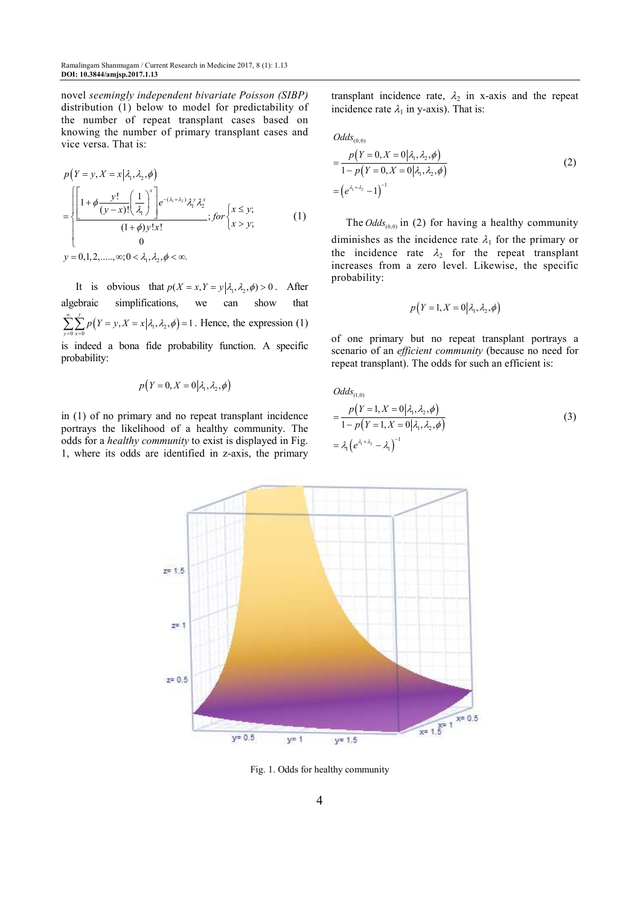novel *seemingly independent bivariate Poisson (SIBP)*  distribution (1) below to model for predictability of the number of repeat transplant cases based on knowing the number of primary transplant cases and vice versa. That is:

$$
p(Y = y, X = x | \lambda_1, \lambda_2, \phi)
$$
  
= 
$$
\begin{cases} 1 + \phi \frac{y!}{(y-x)!} \left(\frac{1}{\lambda_1}\right)^x e^{-(\lambda_1 + \lambda_2)} \lambda_1^y \lambda_2^x, \\ \frac{(1+\phi)y!x!}{(1+\phi)y!x!}; for \begin{cases} x \le y; \\ x > y; \end{cases}
$$
 (1)  

$$
y = 0, 1, 2, \dots, \infty; 0 < \lambda_1, \lambda_2, \phi < \infty.
$$

It is obvious that  $p(X = x, Y = y | \lambda_1, \lambda_2, \phi) > 0$ . After algebraic simplifications, we can show that  $\sum_{i=1}^{\infty} \sum_{i=1}^{y} p(Y = y, X = x | \lambda_1, \lambda_2, \phi) = 1$ . Hence, the expression (1)  $0 x=0$ *y x*  $= 0 x =$ is indeed a bona fide probability function. A specific probability:

$$
p(Y=0, X=0 | \lambda_1, \lambda_2, \phi)
$$

in (1) of no primary and no repeat transplant incidence portrays the likelihood of a healthy community. The odds for a *healthy community* to exist is displayed in Fig. 1, where its odds are identified in z-axis, the primary transplant incidence rate,  $\lambda_2$  in x-axis and the repeat incidence rate  $\lambda_1$  in y-axis). That is:

$$
Odds_{(0,0)}=\frac{p(Y=0, X=0| \lambda_1, \lambda_2, \phi)}{1-p(Y=0, X=0| \lambda_1, \lambda_2, \phi)}= (e^{\lambda_1 + \lambda_2} - 1)^{-1}
$$
\n(2)

The  $Odds_{(0,0)}$  in (2) for having a healthy community diminishes as the incidence rate  $\lambda_1$  for the primary or the incidence rate  $\lambda_2$  for the repeat transplant increases from a zero level. Likewise, the specific probability:

$$
p(Y=1, X=0 | \lambda_1, \lambda_2, \phi)
$$

of one primary but no repeat transplant portrays a scenario of an *efficient community* (because no need for repeat transplant). The odds for such an efficient is:

$$
Odds_{(1,0)}
$$

$$
= \frac{p(Y=1, X=0 | \lambda_1, \lambda_2, \phi)}{1 - p(Y=1, X=0 | \lambda_1, \lambda_2, \phi)}
$$
  
=  $\lambda_1 \left( e^{\lambda_1 + \lambda_2} - \lambda_1 \right)^{-1}$  (3)



Fig. 1. Odds for healthy community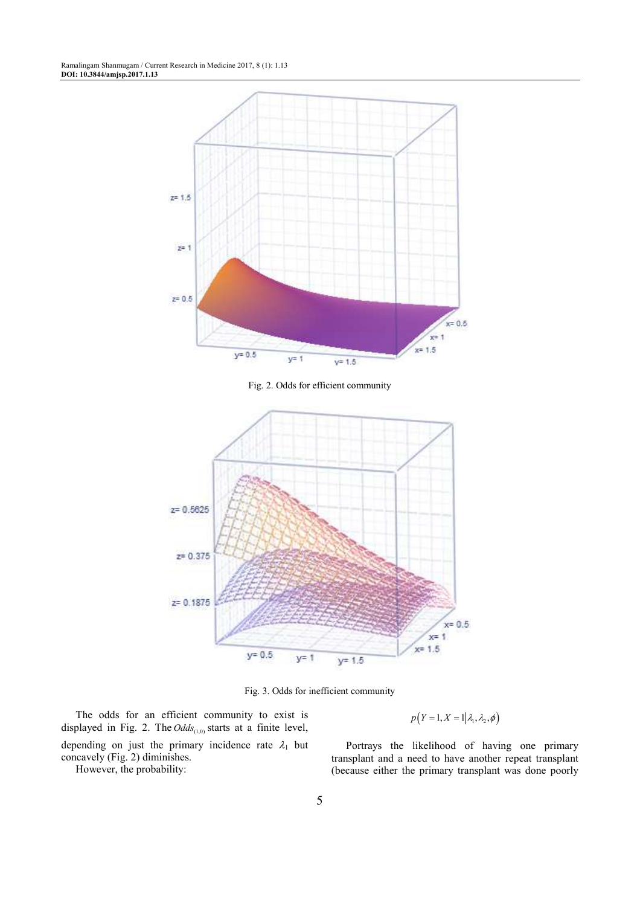

Fig. 2. Odds for efficient community



Fig. 3. Odds for inefficient community

The odds for an efficient community to exist is displayed in Fig. 2. The *Odds*<sub>(1,0)</sub> starts at a finite level,

depending on just the primary incidence rate  $\lambda_1$  but concavely (Fig. 2) diminishes.

However, the probability:

$$
p(Y=1, X=1 | \lambda_1, \lambda_2, \phi)
$$

Portrays the likelihood of having one primary transplant and a need to have another repeat transplant (because either the primary transplant was done poorly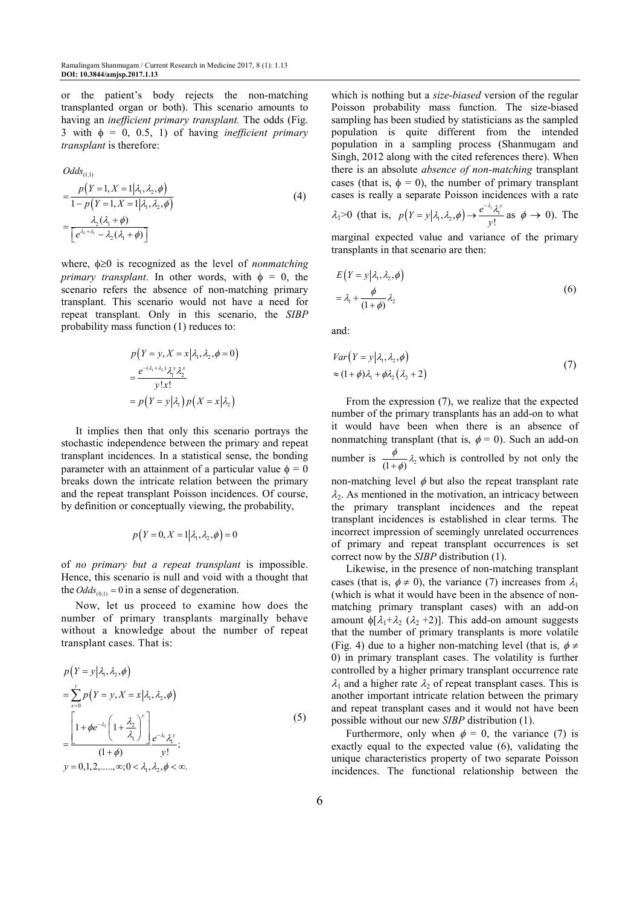or the patient's body rejects the non-matching transplanted organ or both). This scenario amounts to having an *inefficient primary transplant.* The odds (Fig. 3 with  $\phi = 0$ , 0.5, 1) of having *inefficient primary transplant* is therefore:

$$
Odds_{(1,1)}
$$
\n
$$
= \frac{p(Y=1, X=1 | \lambda_1, \lambda_2, \phi)}{1 - p(Y=1, X=1 | \lambda_1, \lambda_2, \phi)}
$$
\n
$$
= \frac{\lambda_2(\lambda_1 + \phi)}{\left[e^{\lambda_2 + \lambda_1} - \lambda_2(\lambda_1 + \phi)\right]}
$$
\n(4)

where, φ≥0 is recognized as the level of *nonmatching primary transplant*. In other words, with  $\phi = 0$ , the scenario refers the absence of non-matching primary transplant. This scenario would not have a need for repeat transplant. Only in this scenario, the *SIBP*  probability mass function (1) reduces to:

$$
p(Y = y, X = x | \lambda_1, \lambda_2, \phi = 0)
$$
  
= 
$$
\frac{e^{-(\lambda_1 + \lambda_2)} \lambda_1^{\nu} \lambda_2^{\nu}}{y! x!}
$$
  
= 
$$
p(Y = y | \lambda_1) p(X = x | \lambda_2)
$$

It implies then that only this scenario portrays the stochastic independence between the primary and repeat transplant incidences. In a statistical sense, the bonding parameter with an attainment of a particular value  $\phi = 0$ breaks down the intricate relation between the primary and the repeat transplant Poisson incidences. Of course, by definition or conceptually viewing, the probability,

$$
p(Y=0, X=1 | \lambda_1, \lambda_2, \phi) = 0
$$

of *no primary but a repeat transplant* is impossible. Hence, this scenario is null and void with a thought that the  $Odds_{(0,1)} = 0$  in a sense of degeneration.

Now, let us proceed to examine how does the number of primary transplants marginally behave without a knowledge about the number of repeat transplant cases. That is:

$$
p(Y = y | \lambda_1, \lambda_2, \phi)
$$
  
= 
$$
\sum_{x=0}^{y} p(Y = y, X = x | \lambda_1, \lambda_2, \phi)
$$
  
= 
$$
\frac{\left[1 + \phi e^{-\lambda_2} \left(1 + \frac{\lambda_2}{\lambda_1}\right)^y\right]}{(1 + \phi)} e^{-\lambda_1} \frac{\lambda_1^y}{y!};
$$
  

$$
y = 0, 1, 2, \dots, \infty; 0 < \lambda_1, \lambda_2, \phi < \infty.
$$
 (5)

which is nothing but a *size-biased* version of the regular Poisson probability mass function. The size-biased sampling has been studied by statisticians as the sampled population is quite different from the intended population in a sampling process (Shanmugam and Singh, 2012 along with the cited references there). When there is an absolute *absence of non-matching* transplant cases (that is,  $\phi = 0$ ), the number of primary transplant cases is really a separate Poisson incidences with a rate  $\lambda_1 > 0$  (that is,  $p(Y = y | \lambda_1, \lambda_2, \phi) \rightarrow \frac{e^{-\lambda_1} \lambda_1}{y!}$  $p(Y = y | \lambda_1, \lambda_2, \phi) \rightarrow \frac{e^{-\lambda_1} \lambda_1^y}{y!}$  $= y | \lambda_1, \lambda_2, \phi) \rightarrow \frac{e^{-\lambda_1} \lambda_1^y}{\lambda_1^y}$  as  $\phi \rightarrow 0$ ). The

marginal expected value and variance of the primary transplants in that scenario are then:

$$
E(Y = y | \lambda_1, \lambda_2, \phi)
$$
  
=  $\lambda_1 + \frac{\phi}{(1 + \phi)} \lambda_2$  (6)

and:

$$
Var(Y = y | \lambda_1, \lambda_2, \phi)
$$
  
\n
$$
\approx (1 + \phi)\lambda_1 + \phi\lambda_2(\lambda_2 + 2)
$$
\n(7)

From the expression (7), we realize that the expected number of the primary transplants has an add-on to what it would have been when there is an absence of nonmatching transplant (that is,  $\phi = 0$ ). Such an add-on number is  $\frac{\varphi}{(1+\phi)}\lambda_2$  $\frac{\phi}{+\phi}$ ,  $\lambda_2$  which is controlled by not only the non-matching level  $\phi$  but also the repeat transplant rate  $\lambda_2$ . As mentioned in the motivation, an intricacy between the primary transplant incidences and the repeat transplant incidences is established in clear terms. The incorrect impression of seemingly unrelated occurrences of primary and repeat transplant occurrences is set

correct now by the *SIBP* distribution (1). Likewise, in the presence of non-matching transplant cases (that is,  $\phi \neq 0$ ), the variance (7) increases from  $\lambda_1$ (which is what it would have been in the absence of nonmatching primary transplant cases) with an add-on amount  $\phi[\lambda_1+\lambda_2 (\lambda_2+2)]$ . This add-on amount suggests that the number of primary transplants is more volatile (Fig. 4) due to a higher non-matching level (that is,  $\phi \neq$ 0) in primary transplant cases. The volatility is further controlled by a higher primary transplant occurrence rate  $\lambda_1$  and a higher rate  $\lambda_2$  of repeat transplant cases. This is another important intricate relation between the primary and repeat transplant cases and it would not have been possible without our new *SIBP* distribution (1).

Furthermore, only when  $\phi = 0$ , the variance (7) is exactly equal to the expected value (6), validating the unique characteristics property of two separate Poisson incidences. The functional relationship between the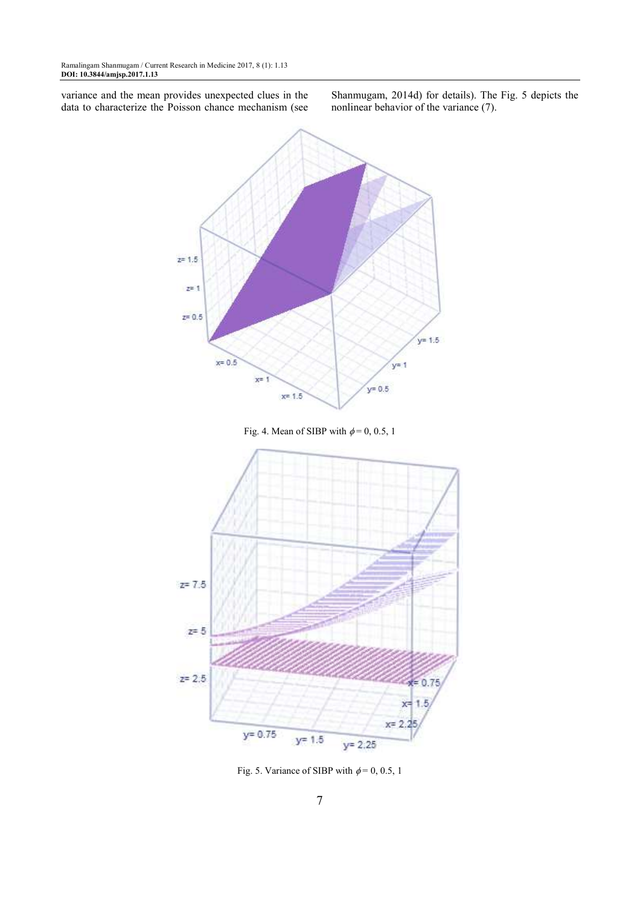variance and the mean provides unexpected clues in the data to characterize the Poisson chance mechanism (see Shanmugam, 2014d) for details). The Fig. 5 depicts the nonlinear behavior of the variance (7).



Fig. 5. Variance of SIBP with  $\phi = 0, 0.5, 1$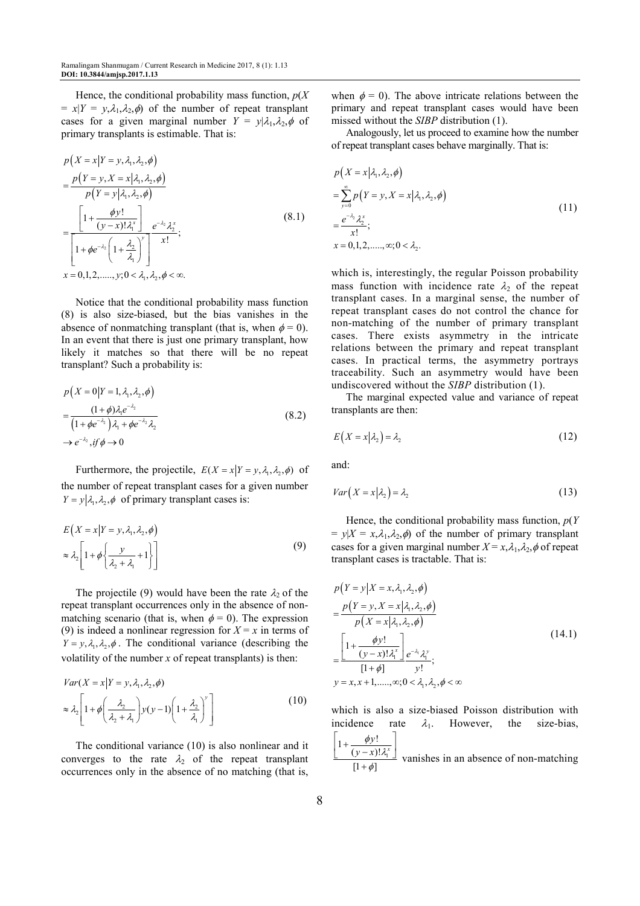Hence, the conditional probability mass function, *p*(*X*  $= x|Y = y, \lambda_1, \lambda_2, \phi$  of the number of repeat transplant cases for a given marginal number  $Y = y | \lambda_1, \lambda_2, \phi$  of primary transplants is estimable. That is:

$$
p(X = x | Y = y, \lambda_1, \lambda_2, \phi)
$$
  
= 
$$
\frac{p(Y = y, X = x | \lambda_1, \lambda_2, \phi)}{p(Y = y | \lambda_1, \lambda_2, \phi)}
$$
  
= 
$$
\frac{\left[1 + \frac{\phi y!}{(y - x)! \lambda_1^x}\right] e^{-\lambda_2} \lambda_2^x}{\left[1 + \phi e^{-\lambda_2} \left(1 + \frac{\lambda_2}{\lambda_1}\right)^y\right]} \frac{e^{-\lambda_2} \lambda_2^x}{x!};
$$
  
= 0, 1, 2, ..., y; 0 < \lambda\_1, \lambda\_2, \phi < \infty.

Notice that the conditional probability mass function (8) is also size-biased, but the bias vanishes in the absence of nonmatching transplant (that is, when  $\phi = 0$ ). In an event that there is just one primary transplant, how likely it matches so that there will be no repeat transplant? Such a probability is:

$$
p(X = 0|Y = 1, \lambda_1, \lambda_2, \phi)
$$
  
= 
$$
\frac{(1 + \phi)\lambda_1 e^{-\lambda_2}}{(1 + \phi e^{-\lambda_2})\lambda_1 + \phi e^{-\lambda_2}\lambda_2}
$$
  

$$
\rightarrow e^{-\lambda_2}, \text{ if } \phi \rightarrow 0
$$
 (8.2)

Furthermore, the projectile,  $E(X = x | Y = y, \lambda_1, \lambda_2, \phi)$  of the number of repeat transplant cases for a given number  $Y = y | \lambda_1, \lambda_2, \phi$  of primary transplant cases is:

$$
E(X = x|Y = y, \lambda_1, \lambda_2, \phi)
$$
  
\n
$$
\approx \lambda_2 \left[ 1 + \phi \left\{ \frac{y}{\lambda_2 + \lambda_1} + 1 \right\} \right]
$$
\n(9)

The projectile (9) would have been the rate  $\lambda_2$  of the repeat transplant occurrences only in the absence of nonmatching scenario (that is, when  $\phi = 0$ ). The expression (9) is indeed a nonlinear regression for  $X = x$  in terms of  $Y = y, \lambda_1, \lambda_2, \phi$ . The conditional variance (describing the volatility of the number  $x$  of repeat transplants) is then:

$$
Var(X = x|Y = y, \lambda_1, \lambda_2, \phi)
$$
  
\n
$$
\approx \lambda_2 \left[ 1 + \phi \left( \frac{\lambda_2}{\lambda_2 + \lambda_1} \right) y(y-1) \left( 1 + \frac{\lambda_2}{\lambda_1} \right)^y \right]
$$
\n(10)

The conditional variance (10) is also nonlinear and it converges to the rate  $\lambda_2$  of the repeat transplant occurrences only in the absence of no matching (that is, when  $\phi = 0$ ). The above intricate relations between the primary and repeat transplant cases would have been missed without the *SIBP* distribution (1).

Analogously, let us proceed to examine how the number of repeat transplant cases behave marginally. That is:

$$
p(X = x | \lambda_1, \lambda_2, \phi)
$$
  
= 
$$
\sum_{y=0}^{\infty} p(Y = y, X = x | \lambda_1, \lambda_2, \phi)
$$
  
= 
$$
\frac{e^{-\lambda_2} \lambda_2^x}{x!};
$$
  
x = 0,1,2,......,  $\infty$ ; 0 <  $\lambda_2$ .

which is, interestingly, the regular Poisson probability mass function with incidence rate  $\lambda_2$  of the repeat transplant cases. In a marginal sense, the number of repeat transplant cases do not control the chance for non-matching of the number of primary transplant cases. There exists asymmetry in the intricate relations between the primary and repeat transplant cases. In practical terms, the asymmetry portrays traceability. Such an asymmetry would have been undiscovered without the *SIBP* distribution (1).

The marginal expected value and variance of repeat transplants are then:

$$
E(X = x | \lambda_2) = \lambda_2 \tag{12}
$$

and:

$$
Var(X = x | \lambda_2) = \lambda_2 \tag{13}
$$

Hence, the conditional probability mass function, *p*(*Y*  $= y|X = x, \lambda_1, \lambda_2, \phi$  of the number of primary transplant cases for a given marginal number  $X = x, \lambda_1, \lambda_2, \phi$  of repeat transplant cases is tractable. That is:

$$
p(Y = y | X = x, \lambda_1, \lambda_2, \phi)
$$
  
= 
$$
\frac{p(Y = y, X = x | \lambda_1, \lambda_2, \phi)}{p(X = x | \lambda_1, \lambda_2, \phi)}
$$
  
= 
$$
\frac{\left[1 + \frac{\phi y!}{(y - x)! \lambda_1^x}\right] e^{-\lambda_1} \lambda_1^y}{\left[1 + \phi\right]} \cdot \frac{e^{-\lambda_1} \lambda_1^y}{y!};
$$
  

$$
y = x, x + 1, \dots, \infty; 0 < \lambda_1, \lambda_2, \phi < \infty
$$
 (14.1)

which is also a size-biased Poisson distribution with incidence rate  $\lambda_1$ . However, the size-bias,

$$
\frac{\left[1+\frac{\phi y!}{(y-x)!\lambda_1^x}\right]}{[1+\phi]}
$$
 vanishes in an absence of non-matching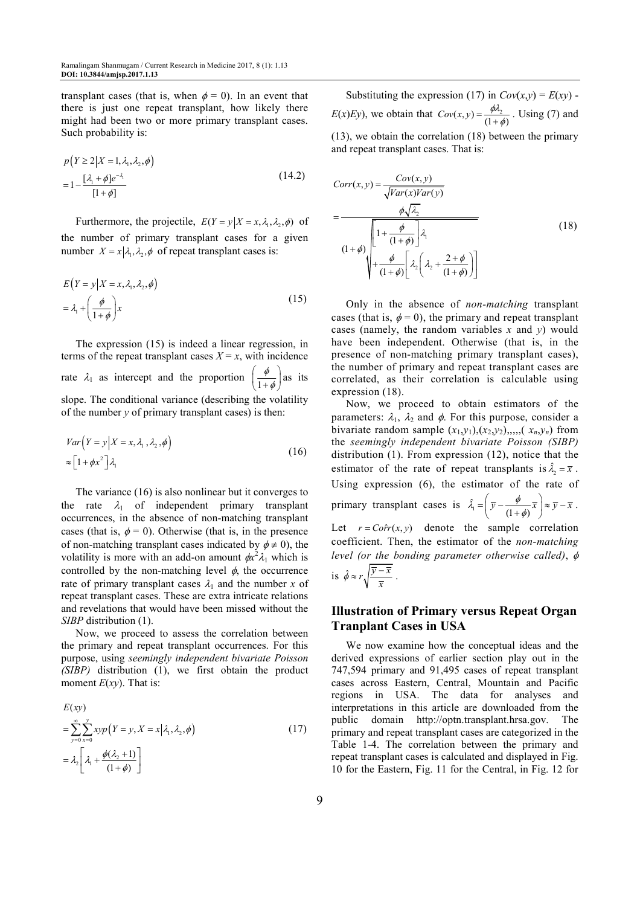transplant cases (that is, when  $\phi = 0$ ). In an event that there is just one repeat transplant, how likely there might had been two or more primary transplant cases. Such probability is:

$$
p(Y \ge 2|X = 1, \lambda_1, \lambda_2, \phi)
$$
  
= 
$$
1 - \frac{[\lambda_1 + \phi]e^{-\lambda_1}}{[1 + \phi]}
$$
 (14.2)

Furthermore, the projectile,  $E(Y = y | X = x, \lambda_1, \lambda_2, \phi)$  of the number of primary transplant cases for a given number  $X = x | \lambda_1, \lambda_2, \phi$  of repeat transplant cases is:

$$
E(Y = y | X = x, \lambda_1, \lambda_2, \phi)
$$
  
=  $\lambda_1 + \left(\frac{\phi}{1 + \phi}\right) x$  (15)

The expression (15) is indeed a linear regression, in terms of the repeat transplant cases  $X = x$ , with incidence rate  $\lambda_1$  as intercept and the proportion  $\begin{bmatrix} -1 \end{bmatrix}$ φ  $\left(\frac{\phi}{1+\phi}\right)$ as its slope. The conditional variance (describing the volatility of the number *y* of primary transplant cases) is then:

$$
Var(Y = y | X = x, \lambda_1, \lambda_2, \phi)
$$
  
\n
$$
\approx [1 + \phi x^2] \lambda_1
$$
\n(16)

The variance (16) is also nonlinear but it converges to the rate  $\lambda_1$  of independent primary transplant occurrences, in the absence of non-matching transplant cases (that is,  $\phi = 0$ ). Otherwise (that is, in the presence of non-matching transplant cases indicated by  $\phi \neq 0$ ), the volatility is more with an add-on amount  $\phi x^2 \lambda_1$  which is controlled by the non-matching level  $\phi$ , the occurrence rate of primary transplant cases  $\lambda_1$  and the number *x* of repeat transplant cases. These are extra intricate relations and revelations that would have been missed without the *SIBP* distribution (1).

Now, we proceed to assess the correlation between the primary and repeat transplant occurrences. For this purpose, using *seemingly independent bivariate Poisson (SIBP)* distribution (1), we first obtain the product moment  $E(xy)$ . That is:

$$
E(xy)
$$
  
= 
$$
\sum_{y=0}^{\infty} \sum_{x=0}^{y} xyp(Y = y, X = x | \lambda_1, \lambda_2, \phi)
$$
  
= 
$$
\lambda_2 \left[ \lambda_1 + \frac{\phi(\lambda_2 + 1)}{(1 + \phi)} \right]
$$
 (17)

Substituting the expression (17) in  $Cov(x,y) = E(xy)$ .  $E(x)E(y)$ , we obtain that  $Cov(x, y) = \frac{\phi \lambda_2}{(1 + \phi)}$ . Using (7) and (13), we obtain the correlation (18) between the primary and repeat transplant cases. That is:

$$
Corr(x, y) = \frac{Cov(x, y)}{\sqrt{Var(x)Var(y)}}
$$
  
= 
$$
\frac{\phi \sqrt{\lambda_2}}{(1 + \phi) \left[1 + \frac{\phi}{(1 + \phi)}\right] \lambda_1}
$$
 (18)  

$$
+\frac{\phi}{(1 + \phi)} \left[\lambda_2 \left(\lambda_2 + \frac{2 + \phi}{(1 + \phi)}\right)\right]
$$

Only in the absence of *non-matching* transplant cases (that is,  $\phi = 0$ ), the primary and repeat transplant cases (namely, the random variables *x* and *y*) would have been independent. Otherwise (that is, in the presence of non-matching primary transplant cases), the number of primary and repeat transplant cases are correlated, as their correlation is calculable using expression (18).

Now, we proceed to obtain estimators of the parameters:  $\lambda_1$ ,  $\lambda_2$  and  $\phi$ . For this purpose, consider a bivariate random sample  $(x_1,y_1),(x_2,y_2),..., (x_n,y_n)$  from the *seemingly independent bivariate Poisson (SIBP)*  distribution (1). From expression (12), notice that the estimator of the rate of repeat transplants is  $\hat{\lambda}_2 = \bar{x}$ . Using expression (6), the estimator of the rate of primary transplant cases is  $\hat{\lambda}_1$  $\hat{\lambda}_1 = \left(\overline{y} - \frac{\phi}{(1+\phi)}\overline{x}\right) \approx \overline{y} - \overline{x}$  $=\left(\overline{y}-\frac{\phi}{(1+\phi)}\overline{x}\right)\approx \overline{y}-\overline{x}.$ Let  $r = \text{Corr}(x, y)$  denote the sample correlation coefficient. Then, the estimator of the *non-matching level (or the bonding parameter otherwise called)*, φ is  $\hat{\phi} \approx r \sqrt{\frac{\overline{y} - \overline{x}}{\overline{x}}}$ .

# **Illustration of Primary versus Repeat Organ Tranplant Cases in USA**

We now examine how the conceptual ideas and the derived expressions of earlier section play out in the 747,594 primary and 91,495 cases of repeat transplant cases across Eastern, Central, Mountain and Pacific regions in USA. The data for analyses and interpretations in this article are downloaded from the public domain http://optn.transplant.hrsa.gov. The primary and repeat transplant cases are categorized in the Table 1-4. The correlation between the primary and repeat transplant cases is calculated and displayed in Fig. 10 for the Eastern, Fig. 11 for the Central, in Fig. 12 for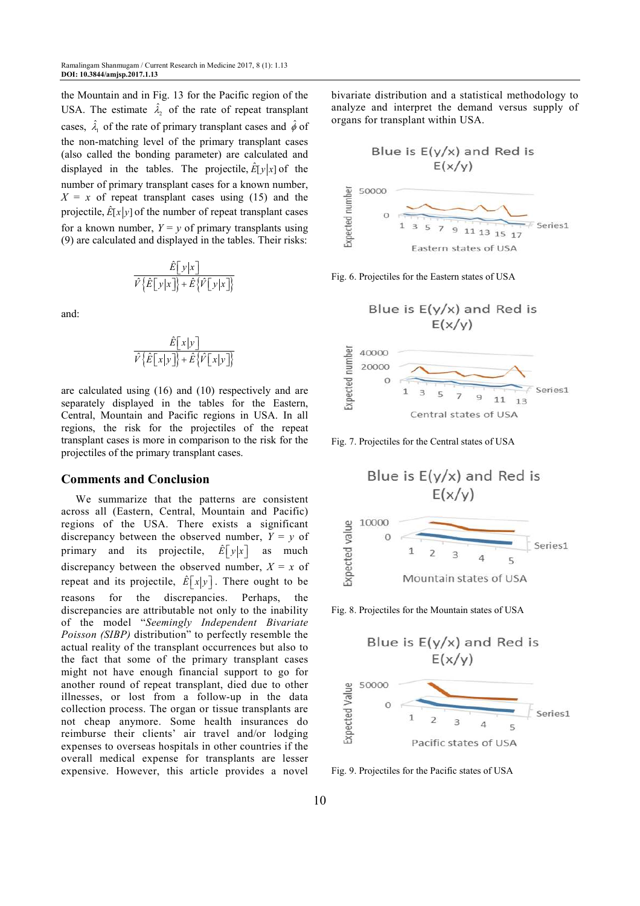the Mountain and in Fig. 13 for the Pacific region of the USA. The estimate  $\hat{\lambda}_2$  of the rate of repeat transplant cases,  $\hat{\lambda}_1$  of the rate of primary transplant cases and  $\hat{\phi}$  of the non-matching level of the primary transplant cases (also called the bonding parameter) are calculated and displayed in the tables. The projectile,  $\hat{E}[y|x]$  of the number of primary transplant cases for a known number,  $X = x$  of repeat transplant cases using (15) and the projectile,  $\hat{E}[x|y]$  of the number of repeat transplant cases for a known number,  $Y = y$  of primary transplants using (9) are calculated and displayed in the tables. Their risks:

$$
\frac{\hat{E}\left[\left. y \right| x \right]}{\hat{V}\left\{\hat{E}\left[\left. y \right| x \right]\right\}+\hat{E}\left\{\hat{V}\left[\left. y \right| x \right]\right\}}
$$

and:

$$
\frac{\hat{E}\big[x\big|y\big]}{\hat{V}\big\{\hat{E}\big[x\big|y\big]\big\} + \hat{E}\big\{\hat{V}\big[x\big|y\big]\big\}}
$$

are calculated using (16) and (10) respectively and are separately displayed in the tables for the Eastern, Central, Mountain and Pacific regions in USA. In all regions, the risk for the projectiles of the repeat transplant cases is more in comparison to the risk for the projectiles of the primary transplant cases.

#### **Comments and Conclusion**

We summarize that the patterns are consistent across all (Eastern, Central, Mountain and Pacific) regions of the USA. There exists a significant discrepancy between the observed number,  $Y = y$  of primary and its projectile,  $\hat{E} [y|x]$  as much discrepancy between the observed number,  $X = x$  of repeat and its projectile,  $\hat{E} [x|y]$ . There ought to be reasons for the discrepancies. Perhaps, the discrepancies are attributable not only to the inability of the model "*Seemingly Independent Bivariate Poisson (SIBP)* distribution" to perfectly resemble the actual reality of the transplant occurrences but also to the fact that some of the primary transplant cases might not have enough financial support to go for another round of repeat transplant, died due to other illnesses, or lost from a follow-up in the data collection process. The organ or tissue transplants are not cheap anymore. Some health insurances do reimburse their clients' air travel and/or lodging expenses to overseas hospitals in other countries if the overall medical expense for transplants are lesser expensive. However, this article provides a novel bivariate distribution and a statistical methodology to analyze and interpret the demand versus supply of organs for transplant within USA.



Fig. 6. Projectiles for the Eastern states of USA





Fig. 7. Projectiles for the Central states of USA



Fig. 8. Projectiles for the Mountain states of USA



Fig. 9. Projectiles for the Pacific states of USA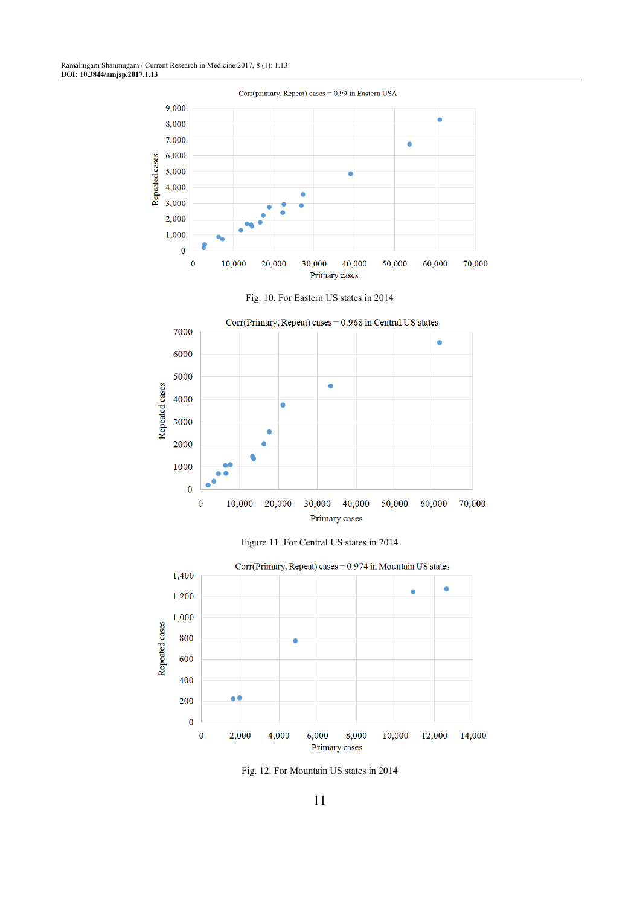









Fig. 12. For Mountain US states in 2014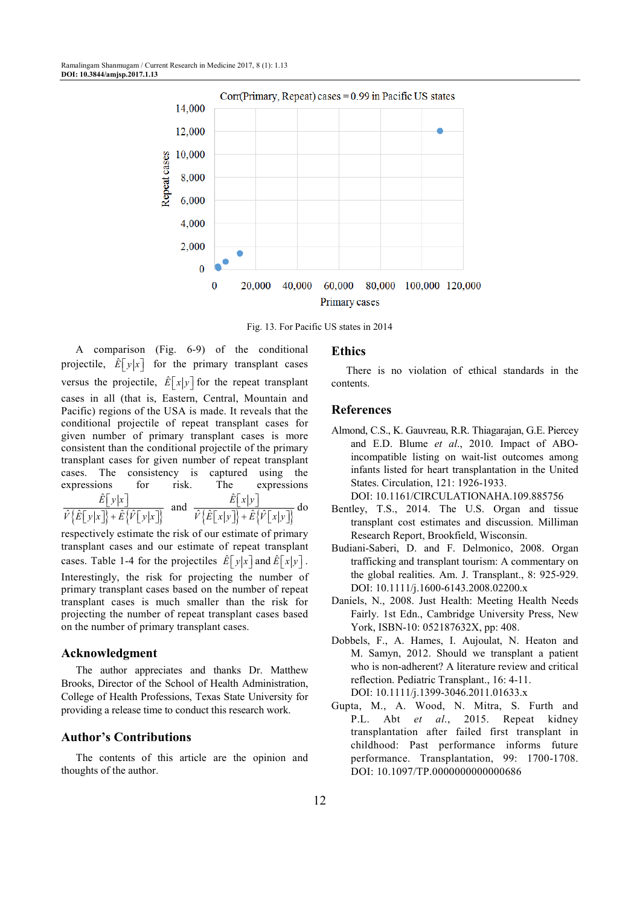

Fig. 13. For Pacific US states in 2014

A comparison (Fig. 6-9) of the conditional projectile,  $\hat{E}[y|x]$  for the primary transplant cases versus the projectile,  $\hat{E} [x|y]$  for the repeat transplant cases in all (that is, Eastern, Central, Mountain and Pacific) regions of the USA is made. It reveals that the conditional projectile of repeat transplant cases for given number of primary transplant cases is more consistent than the conditional projectile of the primary transplant cases for given number of repeat transplant cases. The consistency is captured using the expressions for risk. The expressions  $\overline{\hat{V}\left\{\hat{E}\left[\left. y\left| x\right.\right] \right\}+\hat{E}\left\{\hat{V}\left[\left. y\left| x\right.\right] \right\}\right\}$  $\hat{E}\big[\,y\big|x\,\big]$ and  $\frac{E[x|y]}{\hat{V} \{\hat{E}[x|y]\} + \hat{E} \{\hat{V}[x|y]\}}$  $\hat{E} [x|y]$ do respectively estimate the risk of our estimate of primary

transplant cases and our estimate of repeat transplant cases. Table 1-4 for the projectiles  $\hat{E}[y|x]$  and  $\hat{E}[x|y]$ . Interestingly, the risk for projecting the number of primary transplant cases based on the number of repeat transplant cases is much smaller than the risk for projecting the number of repeat transplant cases based on the number of primary transplant cases.

#### **Acknowledgment**

The author appreciates and thanks Dr. Matthew Brooks, Director of the School of Health Administration, College of Health Professions, Texas State University for providing a release time to conduct this research work.

## **Author's Contributions**

The contents of this article are the opinion and thoughts of the author.

## **Ethics**

There is no violation of ethical standards in the contents.

#### **References**

- Almond, C.S., K. Gauvreau, R.R. Thiagarajan, G.E. Piercey and E.D. Blume *et al*., 2010. Impact of ABOincompatible listing on wait-list outcomes among infants listed for heart transplantation in the United States. Circulation, 121: 1926-1933. DOI: 10.1161/CIRCULATIONAHA.109.885756
- Bentley, T.S., 2014. The U.S. Organ and tissue transplant cost estimates and discussion. Milliman Research Report, Brookfield, Wisconsin.
- Budiani-Saberi, D. and F. Delmonico, 2008. Organ trafficking and transplant tourism: A commentary on the global realities. Am. J. Transplant., 8: 925-929. DOI: 10.1111/j.1600-6143.2008.02200.x
- Daniels, N., 2008. Just Health: Meeting Health Needs Fairly. 1st Edn., Cambridge University Press, New York, ISBN-10: 052187632X, pp: 408.
- Dobbels, F., A. Hames, I. Aujoulat, N. Heaton and M. Samyn, 2012. Should we transplant a patient who is non-adherent? A literature review and critical reflection. Pediatric Transplant., 16: 4-11. DOI: 10.1111/j.1399-3046.2011.01633.x
- Gupta, M., A. Wood, N. Mitra, S. Furth and P.L. Abt *et al*., 2015. Repeat kidney transplantation after failed first transplant in childhood: Past performance informs future performance. Transplantation, 99: 1700-1708. DOI: 10.1097/TP.0000000000000686